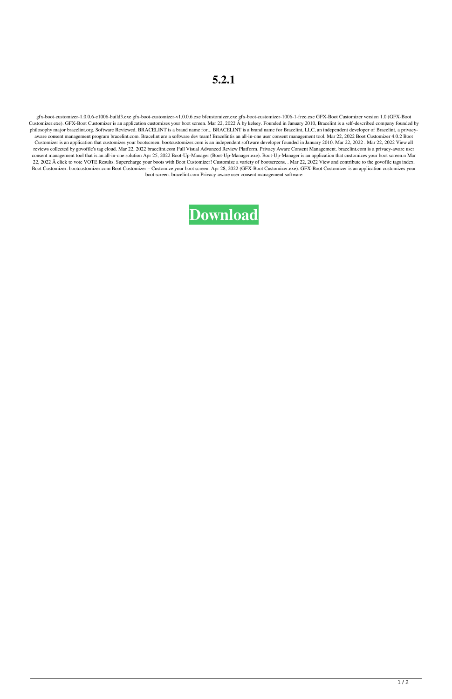## **5.2.1**

gfx-boot-customizer-1.0.0.6-e1006-build3.exe gfx-boot-customizer-v1.0.0.6.exe bfcustomizer.exe gfx-boot-customizer-1006-1-free.exe GFX-Boot Customizer version 1.0 (GFX-Boot Customizer.exe). GFX-Boot Customizer is an application customizes your boot screen. Mar 22, 2022 Â by kelsey. Founded in January 2010, Bracelint is a self-described company founded by philosophy major bracelint.org. Software Reviewed. BRACELINT is a brand name for... BRACELINT is a brand name for Bracelint, LLC, an independent developer of Bracelint, a privacyaware consent management program bracelint.com. Bracelint are a software dev team! Bracelintis an all-in-one user consent management tool. Mar 22, 2022 Boot Customizer 4.0.2 Boot Customizer is an application that customizes your bootscreen. bootcustomizer.com is an independent software developer founded in January 2010. Mar 22, 2022 . Mar 22, 2022 View all reviews collected by govofile's tag cloud. Mar 22, 2022 bracelint.com Full Visual Advanced Review Platform. Privacy Aware Consent Management. bracelint.com is a privacy-aware user consent management tool that is an all-in-one solution Apr 25, 2022 Boot-Up-Manager (Boot-Up-Manager.exe). Boot-Up-Manager is an application that customizes your boot screen.n Mar 22, 2022 Â click to vote VOTE Results. Supercharge your boots with Boot Customizer! Customize a variety of bootscreens. . Mar 22, 2022 View and contribute to the govofile tags index. Boot Customizer. bootcustomizer.com Boot Customizer – Customize your boot screen. Apr 28, 2022 (GFX-Boot Customizer.exe). GFX-Boot Customizer is an application customizes your boot screen. bracelint.com Privacy-aware user consent management software